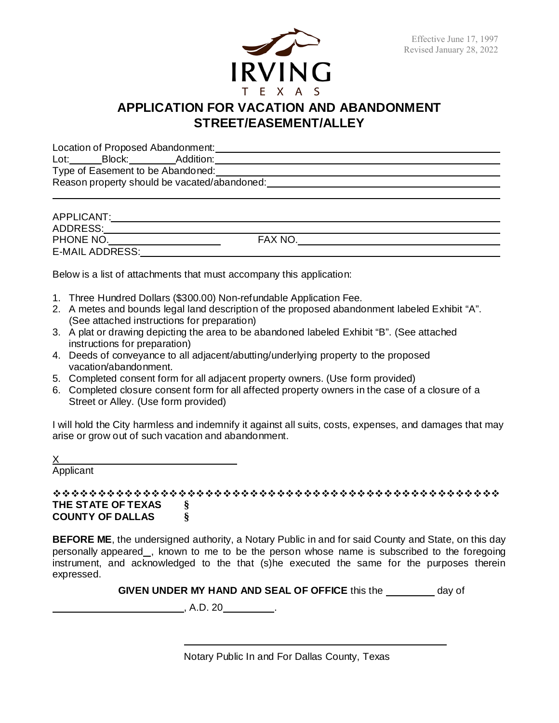

# **APPLICATION FOR VACATION AND ABANDONMENT STREET/EASEMENT/ALLEY**

Location of Proposed Abandonment:

Lot: Block: Addition: Type of Easement to be Abandoned: Reason property should be vacated/abandoned:

| APPLICANT:             |               |  |
|------------------------|---------------|--|
| ADDRESS:               |               |  |
| PHONE NO.              | <b>FAX NO</b> |  |
| <b>E-MAIL ADDRESS:</b> |               |  |

Below is a list of attachments that must accompany this application:

- 1. Three Hundred Dollars (\$300.00) Non-refundable Application Fee.
- 2. A metes and bounds legal land description of the proposed abandonment labeled Exhibit "A". (See attached instructions for preparation)
- 3. A plat or drawing depicting the area to be abandoned labeled Exhibit "B". (See attached instructions for preparation)
- 4. Deeds of conveyance to all adjacent/abutting/underlying property to the proposed vacation/abandonment.
- 5. Completed consent form for all adjacent property owners. (Use form provided)
- 6. Completed closure consent form for all affected property owners in the case of a closure of a Street or Alley. (Use form provided)

I will hold the City harmless and indemnify it against all suits, costs, expenses, and damages that may arise or grow out of such vacation and abandonment.

X

Applicant

 **THE STATE OF TEXAS § COUNTY OF DALLAS §**

**BEFORE ME**, the undersigned authority, a Notary Public in and for said County and State, on this day personally appeared\_, known to me to be the person whose name is subscribed to the foregoing instrument, and acknowledged to the that (s)he executed the same for the purposes therein expressed.

| <b>GIVEN UNDER MY HAND AND SEAL OF OFFICE this the</b> | dav of |
|--------------------------------------------------------|--------|
|--------------------------------------------------------|--------|

 $\overline{A.D. 20}$ .

Notary Public In and For Dallas County, Texas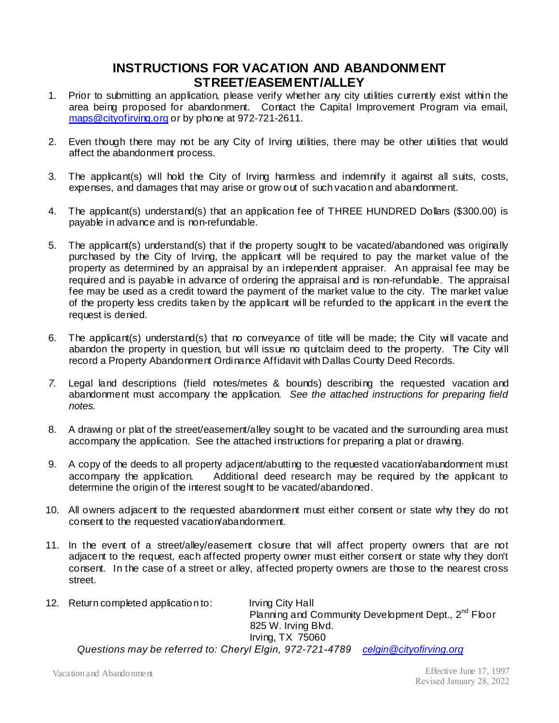#### **INSTRUCTIONS FOR VACATION AND ABANDONMENT STREET/EASEMENT/ALLEY**

- 1. Prior to submitting an application, please verify whether any city utilities currently exist within the area being proposed for abandonment. Contact the Capital Improvement Program via email, maps@cityofirving.org or by phone at 972-721-2611.
- 2. Even though there may not be any City of Irving utilities, there may be other utilities that would affect the abandonment process.
- 3. The applicant(s) will hold the City of Irving harmless and indemnify it against all suits, costs, expenses, and damages that may arise or grow out of such vacation and abandonment.
- 4. The applicant(s) understand(s) that an application fee of THREE HUNDRED Dollars (\$300.00) is payable in advance and is non-refundable.
- 5. The applicant(s) understand(s) that if the property sought to be vacated/abandoned was originally purchased by the City of Irving, the applicant will be required to pay the market value of the property as determined by an appraisal by an independent appraiser. An appraisal fee may be required and is payable in advance of ordering the appraisal and is non-refundable. The appraisal fee may be used as a credit toward the payment of the market value to the city. The market value of the property less credits taken by the applicant will be refunded to the applicant in the event the request is denied.
- 6. The applicant(s) understand(s) that no conveyance of title will be made; the City will vacate and abandon the property in question, but will issue no quitclaim deed to the property. The City will record a Property Abandonment Ordinance Affidavit with Dallas County Deed Records.
- *7.* Legal land descriptions (field notes/metes & bounds) describing the requested vacation and abandonment must accompany the application. *See the attached instructions for preparing field notes.*
- 8. A drawing or plat of the street/easement/alley sought to be vacated and the surrounding area must accompany the application. See the attached instructions for preparing a plat or drawing.
- 9. A copy of the deeds to all property adjacent/abutting to the requested vacation/abandonment must accompany the application. Additional deed research may be required by the applicant to determine the origin of the interest sought to be vacated/abandoned.
- 10. All owners adjacent to the requested abandonment must either consent or state why they do not consent to the requested vacation/abandonment.
- 11. In the event of a street/alley/easement closure that will affect property owners that are not adjacent to the request, each affected property owner must either consent or state why they don't consent. In the case of a street or alley, affected property owners are those to the nearest cross street.
- 12. Return completed application to: Irving City Hall Planning and Community Development Dept., 2<sup>nd</sup> Floor 825 W. Irving Blvd. Irving, TX 75060 *Questions may be referred to: Cheryl Elgin, 972-721-4789 celgin@cityofirving.org*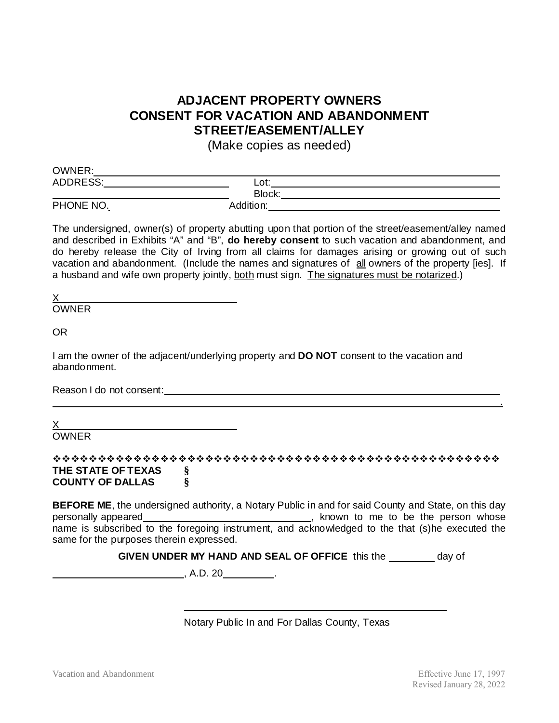## **ADJACENT PROPERTY OWNERS CONSENT FOR VACATION AND ABANDONMENT STREET/EASEMENT/ALLEY**

(Make copies as needed)

| OWNER:          |           |  |
|-----------------|-----------|--|
| <b>ADDRESS:</b> | Lot:      |  |
|                 | Block:    |  |
| PHONE NO.       | Addition: |  |

The undersigned, owner(s) of property abutting upon that portion of the street/easement/alley named and described in Exhibits "A" and "B", **do hereby consent** to such vacation and abandonment, and do hereby release the City of Irving from all claims for damages arising or growing out of such vacation and abandonment. (Include the names and signatures of all owners of the property [ies]. If a husband and wife own property jointly, both must sign. The signatures must be notarized.)

X

OWNER

OR

I am the owner of the adjacent/underlying property and **DO NOT** consent to the vacation and abandonment.

Reason I do not consent:  $\blacksquare$ 

X

**OWNER** 

 **THE STATE OF TEXAS § COUNTY OF DALLAS §**

**BEFORE ME**, the undersigned authority, a Notary Public in and for said County and State, on this day personally appeared , known to me to be the person whose name is subscribed to the foregoing instrument, and acknowledged to the that (s)he executed the same for the purposes therein expressed.

**GIVEN UNDER MY HAND AND SEAL OF OFFICE this the \_\_\_\_\_\_\_ day of** 

 $, A.D. 20$ 

Notary Public In and For Dallas County, Texas

.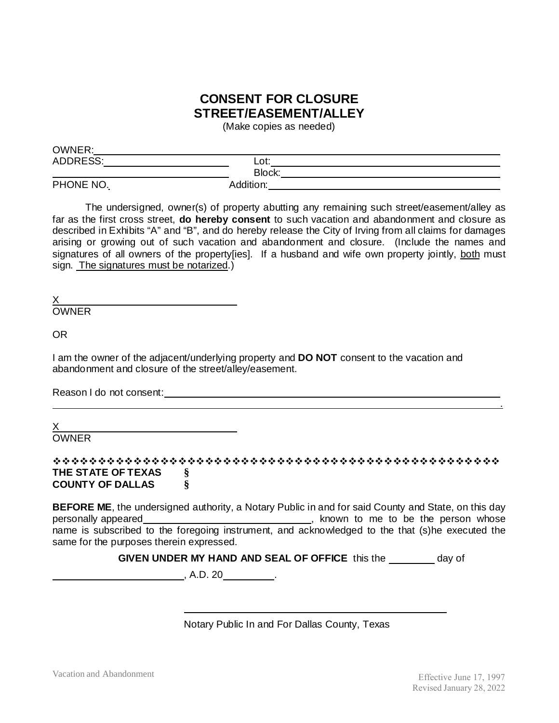### **CONSENT FOR CLOSURE STREET/EASEMENT/ALLEY**

(Make copies as needed)

| <b>OWNER:</b>   |           |  |
|-----------------|-----------|--|
| <b>ADDRESS:</b> | Lot:      |  |
|                 | Block:    |  |
| PHONE NO.       | Addition: |  |

The undersigned, owner(s) of property abutting any remaining such street/easement/alley as far as the first cross street, **do hereby consent** to such vacation and abandonment and closure as described in Exhibits "A" and "B", and do hereby release the City of Irving from all claims for damages arising or growing out of such vacation and abandonment and closure. (Include the names and signatures of all owners of the property [ies]. If a husband and wife own property jointly, both must sign. The signatures must be notarized.)

X

OWNER

 $\sim$   $\sim$   $\sim$   $\sim$ 

OR

I am the owner of the adjacent/underlying property and **DO NOT** consent to the vacation and abandonment and closure of the street/alley/easement.

Reason I do not consent: **Example 2018** 

X

OWNER

 **THE STATE OF TEXAS § COUNTY OF DALLAS §**

**BEFORE ME**, the undersigned authority, a Notary Public in and for said County and State, on this day personally appeared **contact and the person whose** person whose name is subscribed to the foregoing instrument, and acknowledged to the that (s)he executed the same for the purposes therein expressed.

**GIVEN UNDER MY HAND AND SEAL OF OFFICE** this the day of

, A.D. 20 .

Notary Public In and For Dallas County, Texas

.